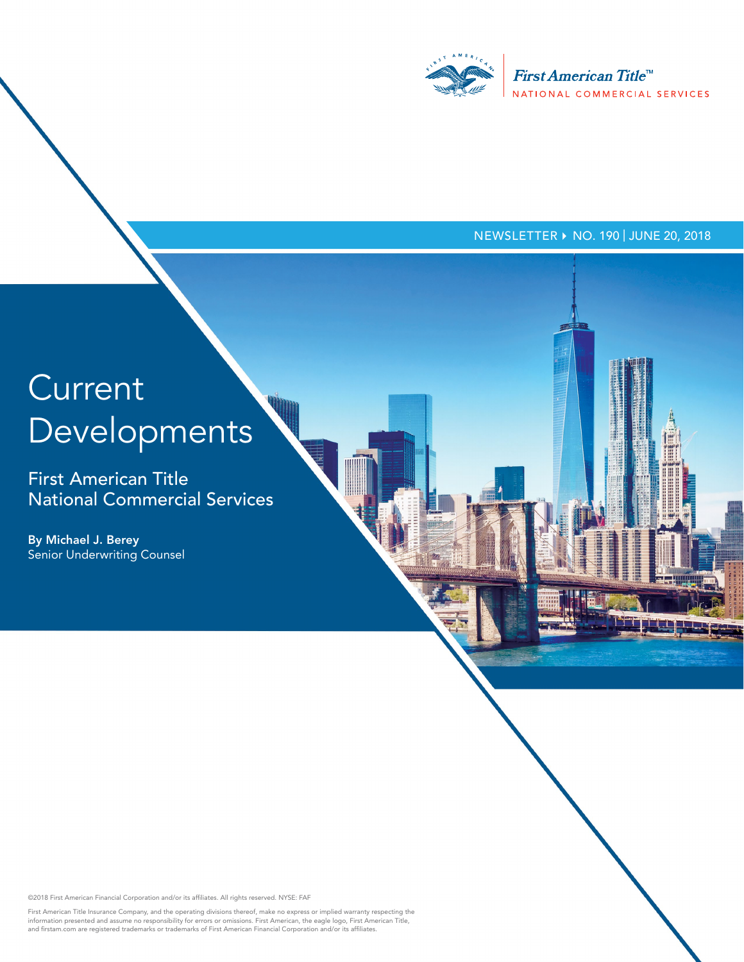

#### NEWSLETTER ▶ NO. 190 | JUNE 20, 2018

# **Current** Developments

First American Title National Commercial Services

By Michael J. Berey Senior Underwriting Counsel

©2018 First American Financial Corporation and/or its affiliates. All rights reserved. NYSE: FAF

First American Title Insurance Company, and the operating divisions thereof, make no express or implied warranty respecting the<br>information presented and assume no responsibility for errors or omissions. First American, th and firstam.com are registered trademarks or trademarks of First American Financial Corporation and/or its affiliates.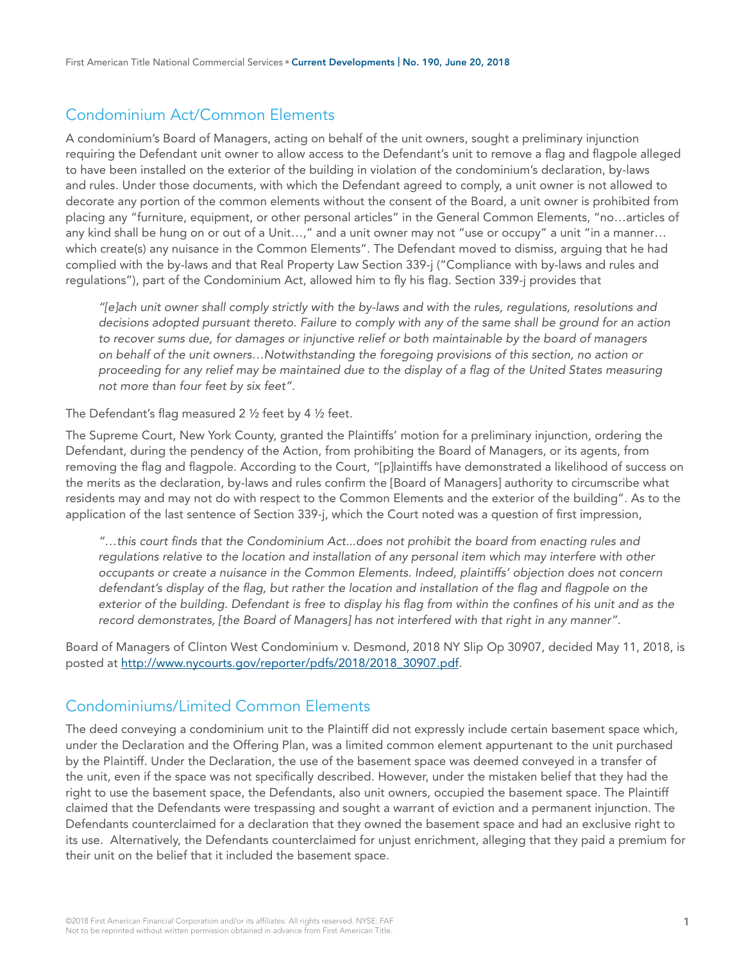## Condominium Act/Common Elements

A condominium's Board of Managers, acting on behalf of the unit owners, sought a preliminary injunction requiring the Defendant unit owner to allow access to the Defendant's unit to remove a flag and flagpole alleged to have been installed on the exterior of the building in violation of the condominium's declaration, by-laws and rules. Under those documents, with which the Defendant agreed to comply, a unit owner is not allowed to decorate any portion of the common elements without the consent of the Board, a unit owner is prohibited from placing any "furniture, equipment, or other personal articles" in the General Common Elements, "no…articles of any kind shall be hung on or out of a Unit…," and a unit owner may not "use or occupy" a unit "in a manner… which create(s) any nuisance in the Common Elements". The Defendant moved to dismiss, arguing that he had complied with the by-laws and that Real Property Law Section 339-j ("Compliance with by-laws and rules and regulations"), part of the Condominium Act, allowed him to fly his flag. Section 339-j provides that

*"[e]ach unit owner shall comply strictly with the by-laws and with the rules, regulations, resolutions and decisions adopted pursuant thereto. Failure to comply with any of the same shall be ground for an action to recover sums due, for damages or injunctive relief or both maintainable by the board of managers on behalf of the unit owners…Notwithstanding the foregoing provisions of this section, no action or proceeding for any relief may be maintained due to the display of a flag of the United States measuring not more than four feet by six feet".*

The Defendant's flag measured 2 ½ feet by 4 ½ feet.

The Supreme Court, New York County, granted the Plaintiffs' motion for a preliminary injunction, ordering the Defendant, during the pendency of the Action, from prohibiting the Board of Managers, or its agents, from removing the flag and flagpole. According to the Court, "[p]laintiffs have demonstrated a likelihood of success on the merits as the declaration, by-laws and rules confirm the [Board of Managers] authority to circumscribe what residents may and may not do with respect to the Common Elements and the exterior of the building". As to the application of the last sentence of Section 339-j, which the Court noted was a question of first impression,

*"…this court finds that the Condominium Act...does not prohibit the board from enacting rules and regulations relative to the location and installation of any personal item which may interfere with other occupants or create a nuisance in the Common Elements. Indeed, plaintiffs' objection does not concern*  defendant's display of the flag, but rather the location and installation of the flag and flagpole on the exterior of the building. Defendant is free to display his flag from within the confines of his unit and as the *record demonstrates, [the Board of Managers] has not interfered with that right in any manner".* 

Board of Managers of Clinton West Condominium v. Desmond, 2018 NY Slip Op 30907, decided May 11, 2018, is posted at [http://www.nycourts.gov/reporter/pdfs/2018/2018\\_30907.pdf.](http://www.nycourts.gov/reporter/pdfs/2018/2018_30907.pdf)

#### Condominiums/Limited Common Elements

The deed conveying a condominium unit to the Plaintiff did not expressly include certain basement space which, under the Declaration and the Offering Plan, was a limited common element appurtenant to the unit purchased by the Plaintiff. Under the Declaration, the use of the basement space was deemed conveyed in a transfer of the unit, even if the space was not specifically described. However, under the mistaken belief that they had the right to use the basement space, the Defendants, also unit owners, occupied the basement space. The Plaintiff claimed that the Defendants were trespassing and sought a warrant of eviction and a permanent injunction. The Defendants counterclaimed for a declaration that they owned the basement space and had an exclusive right to its use. Alternatively, the Defendants counterclaimed for unjust enrichment, alleging that they paid a premium for their unit on the belief that it included the basement space.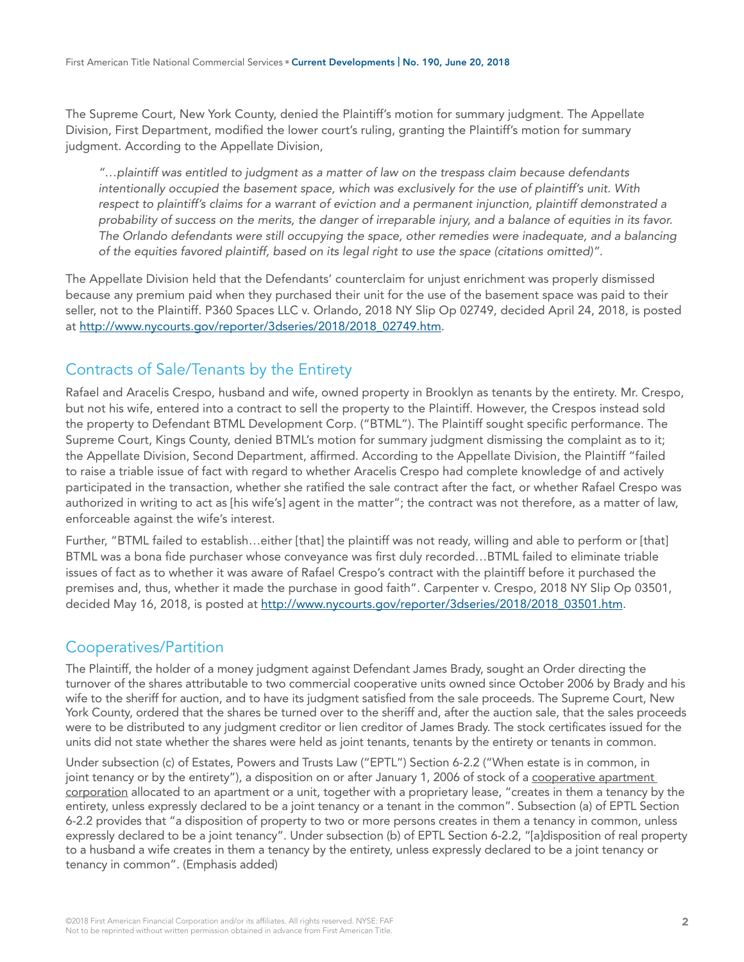The Supreme Court, New York County, denied the Plaintiff's motion for summary judgment. The Appellate Division, First Department, modified the lower court's ruling, granting the Plaintiff's motion for summary judgment. According to the Appellate Division,

*"…plaintiff was entitled to judgment as a matter of law on the trespass claim because defendants intentionally occupied the basement space, which was exclusively for the use of plaintiff's unit. With respect to plaintiff's claims for a warrant of eviction and a permanent injunction, plaintiff demonstrated a probability of success on the merits, the danger of irreparable injury, and a balance of equities in its favor. The Orlando defendants were still occupying the space, other remedies were inadequate, and a balancing of the equities favored plaintiff, based on its legal right to use the space (citations omitted)".* 

The Appellate Division held that the Defendants' counterclaim for unjust enrichment was properly dismissed because any premium paid when they purchased their unit for the use of the basement space was paid to their seller, not to the Plaintiff. P360 Spaces LLC v. Orlando, 2018 NY Slip Op 02749, decided April 24, 2018, is posted at [http://www.nycourts.gov/reporter/3dseries/2018/2018\\_02749.htm](http://www.nycourts.gov/reporter/3dseries/2018/2018_02749.htm).

# Contracts of Sale/Tenants by the Entirety

Rafael and Aracelis Crespo, husband and wife, owned property in Brooklyn as tenants by the entirety. Mr. Crespo, but not his wife, entered into a contract to sell the property to the Plaintiff. However, the Crespos instead sold the property to Defendant BTML Development Corp. ("BTML"). The Plaintiff sought specific performance. The Supreme Court, Kings County, denied BTML's motion for summary judgment dismissing the complaint as to it; the Appellate Division, Second Department, affirmed. According to the Appellate Division, the Plaintiff "failed to raise a triable issue of fact with regard to whether Aracelis Crespo had complete knowledge of and actively participated in the transaction, whether she ratified the sale contract after the fact, or whether Rafael Crespo was authorized in writing to act as [his wife's] agent in the matter"; the contract was not therefore, as a matter of law, enforceable against the wife's interest.

Further, "BTML failed to establish…either [that] the plaintiff was not ready, willing and able to perform or [that] BTML was a bona fide purchaser whose conveyance was first duly recorded…BTML failed to eliminate triable issues of fact as to whether it was aware of Rafael Crespo's contract with the plaintiff before it purchased the premises and, thus, whether it made the purchase in good faith". Carpenter v. Crespo, 2018 NY Slip Op 03501, decided May 16, 2018, is posted at [http://www.nycourts.gov/reporter/3dseries/2018/2018\\_03501.htm.](http://www.nycourts.gov/reporter/3dseries/2018/2018_03501.htm)

# Cooperatives/Partition

The Plaintiff, the holder of a money judgment against Defendant James Brady, sought an Order directing the turnover of the shares attributable to two commercial cooperative units owned since October 2006 by Brady and his wife to the sheriff for auction, and to have its judgment satisfied from the sale proceeds. The Supreme Court, New York County, ordered that the shares be turned over to the sheriff and, after the auction sale, that the sales proceeds were to be distributed to any judgment creditor or lien creditor of James Brady. The stock certificates issued for the units did not state whether the shares were held as joint tenants, tenants by the entirety or tenants in common.

Under subsection (c) of Estates, Powers and Trusts Law ("EPTL") Section 6-2.2 ("When estate is in common, in joint tenancy or by the entirety"), a disposition on or after January 1, 2006 of stock of a cooperative apartment corporation allocated to an apartment or a unit, together with a proprietary lease, "creates in them a tenancy by the entirety, unless expressly declared to be a joint tenancy or a tenant in the common". Subsection (a) of EPTL Section 6-2.2 provides that "a disposition of property to two or more persons creates in them a tenancy in common, unless expressly declared to be a joint tenancy". Under subsection (b) of EPTL Section 6-2.2, "[a]disposition of real property to a husband a wife creates in them a tenancy by the entirety, unless expressly declared to be a joint tenancy or tenancy in common". (Emphasis added)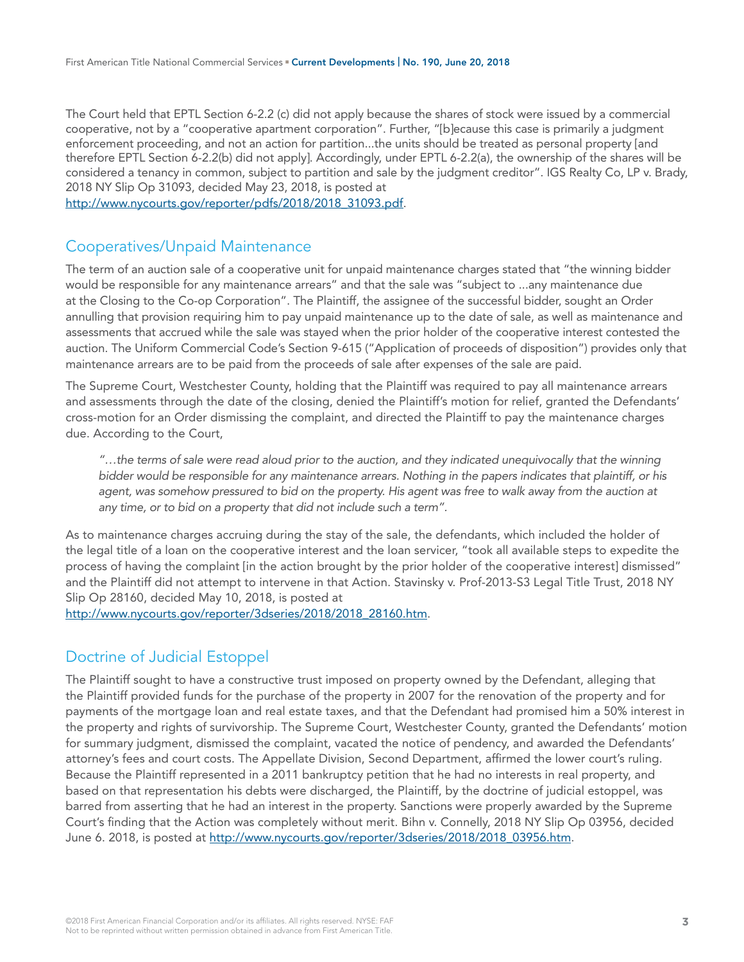The Court held that EPTL Section 6-2.2 (c) did not apply because the shares of stock were issued by a commercial cooperative, not by a "cooperative apartment corporation". Further, "[b]ecause this case is primarily a judgment enforcement proceeding, and not an action for partition...the units should be treated as personal property [and therefore EPTL Section 6-2.2(b) did not apply]. Accordingly, under EPTL 6-2.2(a), the ownership of the shares will be considered a tenancy in common, subject to partition and sale by the judgment creditor". IGS Realty Co, LP v. Brady, 2018 NY Slip Op 31093, decided May 23, 2018, is posted at [http://www.nycourts.gov/reporter/pdfs/2018/2018\\_31093.pdf.](http://www.nycourts.gov/reporter/pdfs/2018/2018_31093.pdf)

#### Cooperatives/Unpaid Maintenance

The term of an auction sale of a cooperative unit for unpaid maintenance charges stated that "the winning bidder would be responsible for any maintenance arrears" and that the sale was "subject to ...any maintenance due at the Closing to the Co-op Corporation". The Plaintiff, the assignee of the successful bidder, sought an Order annulling that provision requiring him to pay unpaid maintenance up to the date of sale, as well as maintenance and assessments that accrued while the sale was stayed when the prior holder of the cooperative interest contested the auction. The Uniform Commercial Code's Section 9-615 ("Application of proceeds of disposition") provides only that maintenance arrears are to be paid from the proceeds of sale after expenses of the sale are paid.

The Supreme Court, Westchester County, holding that the Plaintiff was required to pay all maintenance arrears and assessments through the date of the closing, denied the Plaintiff's motion for relief, granted the Defendants' cross-motion for an Order dismissing the complaint, and directed the Plaintiff to pay the maintenance charges due. According to the Court,

*"…the terms of sale were read aloud prior to the auction, and they indicated unequivocally that the winning bidder would be responsible for any maintenance arrears. Nothing in the papers indicates that plaintiff, or his agent, was somehow pressured to bid on the property. His agent was free to walk away from the auction at any time, or to bid on a property that did not include such a term".*

As to maintenance charges accruing during the stay of the sale, the defendants, which included the holder of the legal title of a loan on the cooperative interest and the loan servicer, "took all available steps to expedite the process of having the complaint [in the action brought by the prior holder of the cooperative interest] dismissed" and the Plaintiff did not attempt to intervene in that Action. Stavinsky v. Prof-2013-S3 Legal Title Trust, 2018 NY Slip Op 28160, decided May 10, 2018, is posted at

[http://www.nycourts.gov/reporter/3dseries/2018/2018\\_28160.htm.](http://www.nycourts.gov/reporter/3dseries/2018/2018_28160.htm)

# Doctrine of Judicial Estoppel

The Plaintiff sought to have a constructive trust imposed on property owned by the Defendant, alleging that the Plaintiff provided funds for the purchase of the property in 2007 for the renovation of the property and for payments of the mortgage loan and real estate taxes, and that the Defendant had promised him a 50% interest in the property and rights of survivorship. The Supreme Court, Westchester County, granted the Defendants' motion for summary judgment, dismissed the complaint, vacated the notice of pendency, and awarded the Defendants' attorney's fees and court costs. The Appellate Division, Second Department, affirmed the lower court's ruling. Because the Plaintiff represented in a 2011 bankruptcy petition that he had no interests in real property, and based on that representation his debts were discharged, the Plaintiff, by the doctrine of judicial estoppel, was barred from asserting that he had an interest in the property. Sanctions were properly awarded by the Supreme Court's finding that the Action was completely without merit. Bihn v. Connelly, 2018 NY Slip Op 03956, decided June 6. 2018, is posted at [http://www.nycourts.gov/reporter/3dseries/2018/2018\\_03956.htm](http://www.nycourts.gov/reporter/3dseries/2018/2018_03956.htm).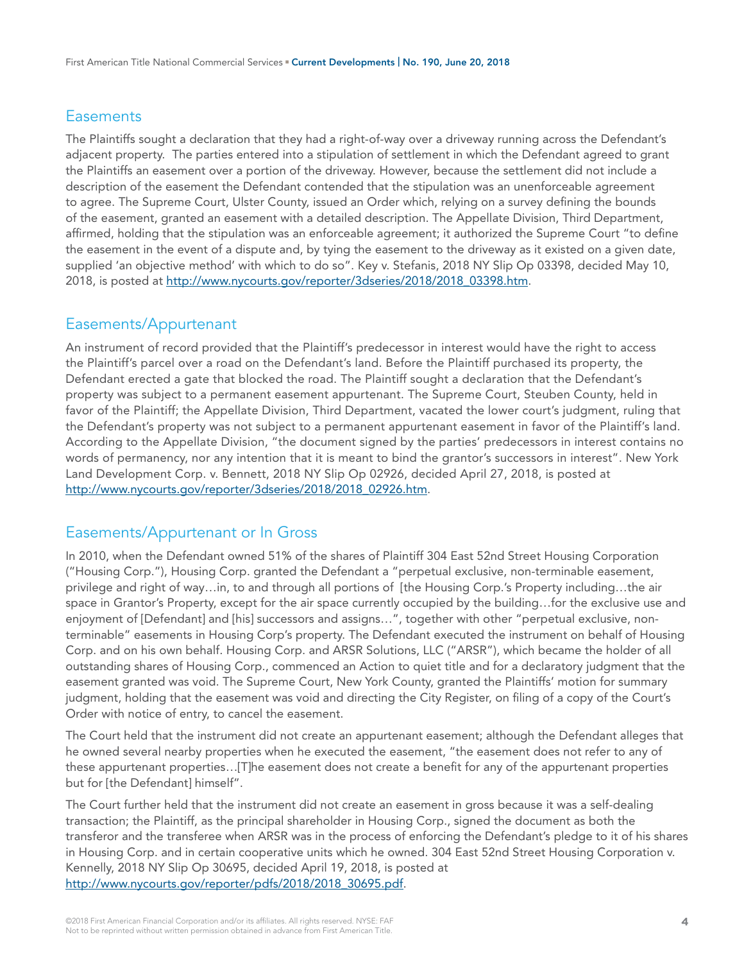## **Easements**

The Plaintiffs sought a declaration that they had a right-of-way over a driveway running across the Defendant's adjacent property. The parties entered into a stipulation of settlement in which the Defendant agreed to grant the Plaintiffs an easement over a portion of the driveway. However, because the settlement did not include a description of the easement the Defendant contended that the stipulation was an unenforceable agreement to agree. The Supreme Court, Ulster County, issued an Order which, relying on a survey defining the bounds of the easement, granted an easement with a detailed description. The Appellate Division, Third Department, affirmed, holding that the stipulation was an enforceable agreement; it authorized the Supreme Court "to define the easement in the event of a dispute and, by tying the easement to the driveway as it existed on a given date, supplied 'an objective method' with which to do so". Key v. Stefanis, 2018 NY Slip Op 03398, decided May 10, 2018, is posted at [http://www.nycourts.gov/reporter/3dseries/2018/2018\\_03398.htm.](http://www.nycourts.gov/reporter/3dseries/2018/2018_03398.htm)

#### Easements/Appurtenant

An instrument of record provided that the Plaintiff's predecessor in interest would have the right to access the Plaintiff's parcel over a road on the Defendant's land. Before the Plaintiff purchased its property, the Defendant erected a gate that blocked the road. The Plaintiff sought a declaration that the Defendant's property was subject to a permanent easement appurtenant. The Supreme Court, Steuben County, held in favor of the Plaintiff; the Appellate Division, Third Department, vacated the lower court's judgment, ruling that the Defendant's property was not subject to a permanent appurtenant easement in favor of the Plaintiff's land. According to the Appellate Division, "the document signed by the parties' predecessors in interest contains no words of permanency, nor any intention that it is meant to bind the grantor's successors in interest". New York Land Development Corp. v. Bennett, 2018 NY Slip Op 02926, decided April 27, 2018, is posted at [http://www.nycourts.gov/reporter/3dseries/2018/2018\\_02926.htm.](http://www.nycourts.gov/reporter/3dseries/2018/2018_02926.htm)

## Easements/Appurtenant or In Gross

In 2010, when the Defendant owned 51% of the shares of Plaintiff 304 East 52nd Street Housing Corporation ("Housing Corp."), Housing Corp. granted the Defendant a "perpetual exclusive, non-terminable easement, privilege and right of way…in, to and through all portions of [the Housing Corp.'s Property including…the air space in Grantor's Property, except for the air space currently occupied by the building…for the exclusive use and enjoyment of [Defendant] and [his] successors and assigns…", together with other "perpetual exclusive, nonterminable" easements in Housing Corp's property. The Defendant executed the instrument on behalf of Housing Corp. and on his own behalf. Housing Corp. and ARSR Solutions, LLC ("ARSR"), which became the holder of all outstanding shares of Housing Corp., commenced an Action to quiet title and for a declaratory judgment that the easement granted was void. The Supreme Court, New York County, granted the Plaintiffs' motion for summary judgment, holding that the easement was void and directing the City Register, on filing of a copy of the Court's Order with notice of entry, to cancel the easement.

The Court held that the instrument did not create an appurtenant easement; although the Defendant alleges that he owned several nearby properties when he executed the easement, "the easement does not refer to any of these appurtenant properties…[T]he easement does not create a benefit for any of the appurtenant properties but for [the Defendant] himself".

The Court further held that the instrument did not create an easement in gross because it was a self-dealing transaction; the Plaintiff, as the principal shareholder in Housing Corp., signed the document as both the transferor and the transferee when ARSR was in the process of enforcing the Defendant's pledge to it of his shares in Housing Corp. and in certain cooperative units which he owned. 304 East 52nd Street Housing Corporation v. Kennelly, 2018 NY Slip Op 30695, decided April 19, 2018, is posted at [http://www.nycourts.gov/reporter/pdfs/2018/2018\\_30695.pdf.](http://www.nycourts.gov/reporter/pdfs/2018/2018_30695.pdf)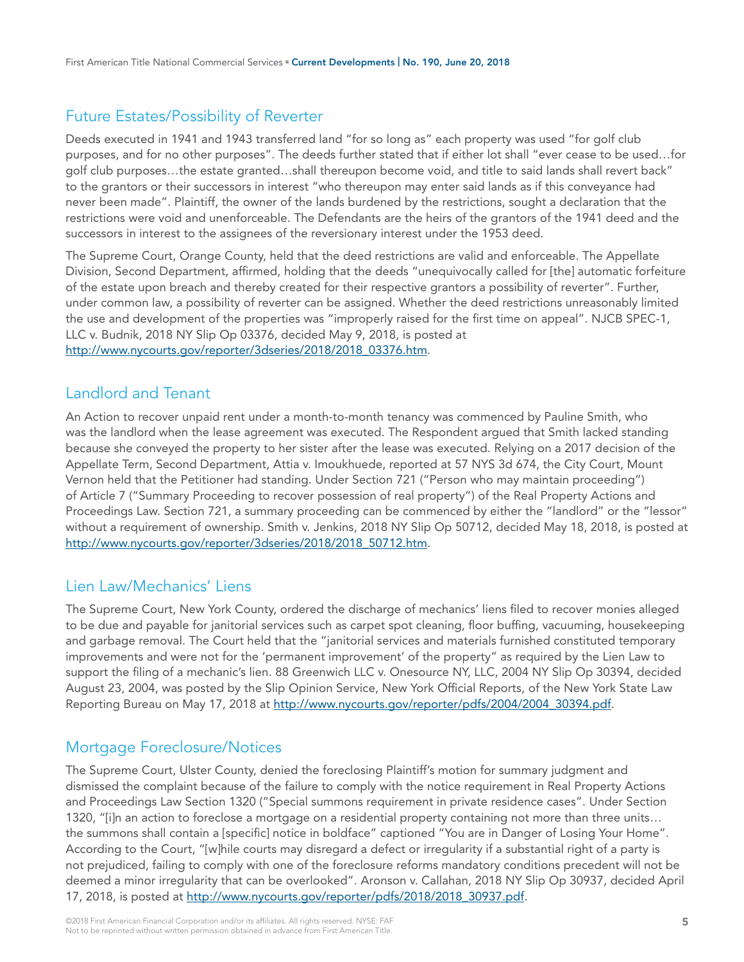# Future Estates/Possibility of Reverter

Deeds executed in 1941 and 1943 transferred land "for so long as" each property was used "for golf club purposes, and for no other purposes". The deeds further stated that if either lot shall "ever cease to be used…for golf club purposes…the estate granted…shall thereupon become void, and title to said lands shall revert back" to the grantors or their successors in interest "who thereupon may enter said lands as if this conveyance had never been made". Plaintiff, the owner of the lands burdened by the restrictions, sought a declaration that the restrictions were void and unenforceable. The Defendants are the heirs of the grantors of the 1941 deed and the successors in interest to the assignees of the reversionary interest under the 1953 deed.

The Supreme Court, Orange County, held that the deed restrictions are valid and enforceable. The Appellate Division, Second Department, affirmed, holding that the deeds "unequivocally called for [the] automatic forfeiture of the estate upon breach and thereby created for their respective grantors a possibility of reverter". Further, under common law, a possibility of reverter can be assigned. Whether the deed restrictions unreasonably limited the use and development of the properties was "improperly raised for the first time on appeal". NJCB SPEC-1, LLC v. Budnik, 2018 NY Slip Op 03376, decided May 9, 2018, is posted at [http://www.nycourts.gov/reporter/3dseries/2018/2018\\_03376.htm.](http://www.nycourts.gov/reporter/3dseries/2018/2018_03376.htm)

## Landlord and Tenant

An Action to recover unpaid rent under a month-to-month tenancy was commenced by Pauline Smith, who was the landlord when the lease agreement was executed. The Respondent argued that Smith lacked standing because she conveyed the property to her sister after the lease was executed. Relying on a 2017 decision of the Appellate Term, Second Department, Attia v. Imoukhuede, reported at 57 NYS 3d 674, the City Court, Mount Vernon held that the Petitioner had standing. Under Section 721 ("Person who may maintain proceeding") of Article 7 ("Summary Proceeding to recover possession of real property") of the Real Property Actions and Proceedings Law. Section 721, a summary proceeding can be commenced by either the "landlord" or the "lessor" without a requirement of ownership. Smith v. Jenkins, 2018 NY Slip Op 50712, decided May 18, 2018, is posted at [http://www.nycourts.gov/reporter/3dseries/2018/2018\\_50712.htm.](http://www.nycourts.gov/reporter/3dseries/2018/2018_50712.htm)

#### Lien Law/Mechanics' Liens

The Supreme Court, New York County, ordered the discharge of mechanics' liens filed to recover monies alleged to be due and payable for janitorial services such as carpet spot cleaning, floor buffing, vacuuming, housekeeping and garbage removal. The Court held that the "janitorial services and materials furnished constituted temporary improvements and were not for the 'permanent improvement' of the property" as required by the Lien Law to support the filing of a mechanic's lien. 88 Greenwich LLC v. Onesource NY, LLC, 2004 NY Slip Op 30394, decided August 23, 2004, was posted by the Slip Opinion Service, New York Official Reports, of the New York State Law Reporting Bureau on May 17, 2018 at [http://www.nycourts.gov/reporter/pdfs/2004/2004\\_30394.pdf](http://www.nycourts.gov/reporter/pdfs/2004/2004_30394.pdf).

## Mortgage Foreclosure/Notices

The Supreme Court, Ulster County, denied the foreclosing Plaintiff's motion for summary judgment and dismissed the complaint because of the failure to comply with the notice requirement in Real Property Actions and Proceedings Law Section 1320 ("Special summons requirement in private residence cases". Under Section 1320, "[i]n an action to foreclose a mortgage on a residential property containing not more than three units… the summons shall contain a [specific] notice in boldface" captioned "You are in Danger of Losing Your Home". According to the Court, "[w]hile courts may disregard a defect or irregularity if a substantial right of a party is not prejudiced, failing to comply with one of the foreclosure reforms mandatory conditions precedent will not be deemed a minor irregularity that can be overlooked". Aronson v. Callahan, 2018 NY Slip Op 30937, decided April 17, 2018, is posted at [http://www.nycourts.gov/reporter/pdfs/2018/2018\\_30937.pdf.](http://www.nycourts.gov/reporter/pdfs/2018/2018_30937.pdf)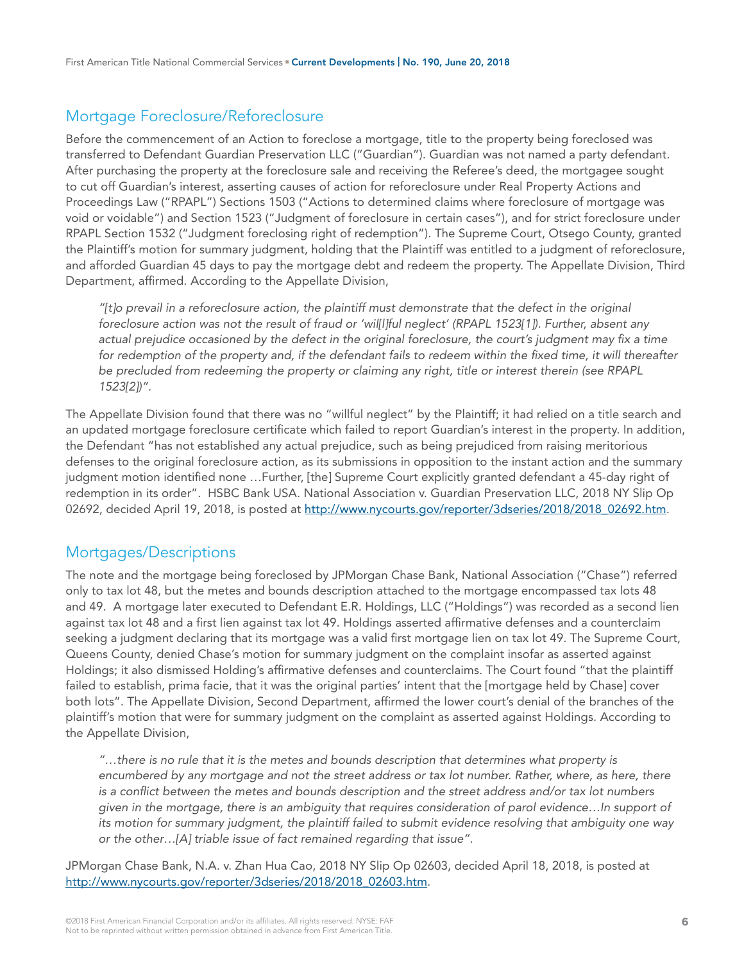# Mortgage Foreclosure/Reforeclosure

Before the commencement of an Action to foreclose a mortgage, title to the property being foreclosed was transferred to Defendant Guardian Preservation LLC ("Guardian"). Guardian was not named a party defendant. After purchasing the property at the foreclosure sale and receiving the Referee's deed, the mortgagee sought to cut off Guardian's interest, asserting causes of action for reforeclosure under Real Property Actions and Proceedings Law ("RPAPL") Sections 1503 ("Actions to determined claims where foreclosure of mortgage was void or voidable") and Section 1523 ("Judgment of foreclosure in certain cases"), and for strict foreclosure under RPAPL Section 1532 ("Judgment foreclosing right of redemption"). The Supreme Court, Otsego County, granted the Plaintiff's motion for summary judgment, holding that the Plaintiff was entitled to a judgment of reforeclosure, and afforded Guardian 45 days to pay the mortgage debt and redeem the property. The Appellate Division, Third Department, affirmed. According to the Appellate Division,

*"[t]o prevail in a reforeclosure action, the plaintiff must demonstrate that the defect in the original foreclosure action was not the result of fraud or 'wil[l]ful neglect' (RPAPL 1523[1]). Further, absent any*  actual prejudice occasioned by the defect in the original foreclosure, the court's judgment may fix a time *for redemption of the property and, if the defendant fails to redeem within the fixed time, it will thereafter be precluded from redeeming the property or claiming any right, title or interest therein (see RPAPL 1523[2])".* 

The Appellate Division found that there was no "willful neglect" by the Plaintiff; it had relied on a title search and an updated mortgage foreclosure certificate which failed to report Guardian's interest in the property. In addition, the Defendant "has not established any actual prejudice, such as being prejudiced from raising meritorious defenses to the original foreclosure action, as its submissions in opposition to the instant action and the summary judgment motion identified none …Further, [the] Supreme Court explicitly granted defendant a 45-day right of redemption in its order". HSBC Bank USA. National Association v. Guardian Preservation LLC, 2018 NY Slip Op 02692, decided April 19, 2018, is posted at [http://www.nycourts.gov/reporter/3dseries/2018/2018\\_02692.htm.](http://www.nycourts.gov/reporter/3dseries/2018/2018_02692.htm)

#### Mortgages/Descriptions

The note and the mortgage being foreclosed by JPMorgan Chase Bank, National Association ("Chase") referred only to tax lot 48, but the metes and bounds description attached to the mortgage encompassed tax lots 48 and 49. A mortgage later executed to Defendant E.R. Holdings, LLC ("Holdings") was recorded as a second lien against tax lot 48 and a first lien against tax lot 49. Holdings asserted affirmative defenses and a counterclaim seeking a judgment declaring that its mortgage was a valid first mortgage lien on tax lot 49. The Supreme Court, Queens County, denied Chase's motion for summary judgment on the complaint insofar as asserted against Holdings; it also dismissed Holding's affirmative defenses and counterclaims. The Court found "that the plaintiff failed to establish, prima facie, that it was the original parties' intent that the [mortgage held by Chase] cover both lots". The Appellate Division, Second Department, affirmed the lower court's denial of the branches of the plaintiff's motion that were for summary judgment on the complaint as asserted against Holdings. According to the Appellate Division,

*"…there is no rule that it is the metes and bounds description that determines what property is*  encumbered by any mortgage and not the street address or tax lot number. Rather, where, as here, there *is a conflict between the metes and bounds description and the street address and/or tax lot numbers given in the mortgage, there is an ambiguity that requires consideration of parol evidence…In support of its motion for summary judgment, the plaintiff failed to submit evidence resolving that ambiguity one way or the other…[A] triable issue of fact remained regarding that issue".*

JPMorgan Chase Bank, N.A. v. Zhan Hua Cao, 2018 NY Slip Op 02603, decided April 18, 2018, is posted at [http://www.nycourts.gov/reporter/3dseries/2018/2018\\_02603.htm.](http://www.nycourts.gov/reporter/3dseries/2018/2018_02603.htm)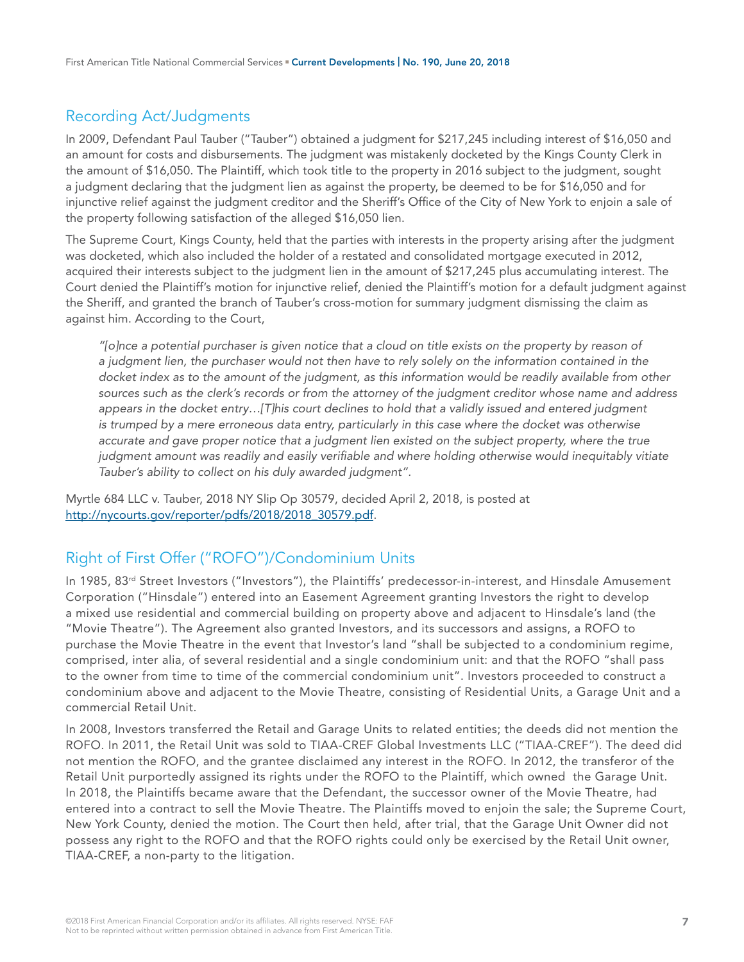# Recording Act/Judgments

In 2009, Defendant Paul Tauber ("Tauber") obtained a judgment for \$217,245 including interest of \$16,050 and an amount for costs and disbursements. The judgment was mistakenly docketed by the Kings County Clerk in the amount of \$16,050. The Plaintiff, which took title to the property in 2016 subject to the judgment, sought a judgment declaring that the judgment lien as against the property, be deemed to be for \$16,050 and for injunctive relief against the judgment creditor and the Sheriff's Office of the City of New York to enjoin a sale of the property following satisfaction of the alleged \$16,050 lien.

The Supreme Court, Kings County, held that the parties with interests in the property arising after the judgment was docketed, which also included the holder of a restated and consolidated mortgage executed in 2012, acquired their interests subject to the judgment lien in the amount of \$217,245 plus accumulating interest. The Court denied the Plaintiff's motion for injunctive relief, denied the Plaintiff's motion for a default judgment against the Sheriff, and granted the branch of Tauber's cross-motion for summary judgment dismissing the claim as against him. According to the Court,

*"[o]nce a potential purchaser is given notice that a cloud on title exists on the property by reason of a judgment lien, the purchaser would not then have to rely solely on the information contained in the*  docket index as to the amount of the judgment, as this information would be readily available from other *sources such as the clerk's records or from the attorney of the judgment creditor whose name and address appears in the docket entry…[T]his court declines to hold that a validly issued and entered judgment is trumped by a mere erroneous data entry, particularly in this case where the docket was otherwise*  accurate and gave proper notice that a judgment lien existed on the subject property, where the true *judgment amount was readily and easily verifiable and where holding otherwise would inequitably vitiate Tauber's ability to collect on his duly awarded judgment".* 

Myrtle 684 LLC v. Tauber, 2018 NY Slip Op 30579, decided April 2, 2018, is posted at [http://nycourts.gov/reporter/pdfs/2018/2018\\_30579.pdf](http://nycourts.gov/reporter/pdfs/2018/2018_30579.pdf).

# Right of First Offer ("ROFO")/Condominium Units

In 1985, 83<sup>rd</sup> Street Investors ("Investors"), the Plaintiffs' predecessor-in-interest, and Hinsdale Amusement Corporation ("Hinsdale") entered into an Easement Agreement granting Investors the right to develop a mixed use residential and commercial building on property above and adjacent to Hinsdale's land (the "Movie Theatre"). The Agreement also granted Investors, and its successors and assigns, a ROFO to purchase the Movie Theatre in the event that Investor's land "shall be subjected to a condominium regime, comprised, inter alia, of several residential and a single condominium unit: and that the ROFO "shall pass to the owner from time to time of the commercial condominium unit". Investors proceeded to construct a condominium above and adjacent to the Movie Theatre, consisting of Residential Units, a Garage Unit and a commercial Retail Unit.

In 2008, Investors transferred the Retail and Garage Units to related entities; the deeds did not mention the ROFO. In 2011, the Retail Unit was sold to TIAA-CREF Global Investments LLC ("TIAA-CREF"). The deed did not mention the ROFO, and the grantee disclaimed any interest in the ROFO. In 2012, the transferor of the Retail Unit purportedly assigned its rights under the ROFO to the Plaintiff, which owned the Garage Unit. In 2018, the Plaintiffs became aware that the Defendant, the successor owner of the Movie Theatre, had entered into a contract to sell the Movie Theatre. The Plaintiffs moved to enjoin the sale; the Supreme Court, New York County, denied the motion. The Court then held, after trial, that the Garage Unit Owner did not possess any right to the ROFO and that the ROFO rights could only be exercised by the Retail Unit owner, TIAA-CREF, a non-party to the litigation.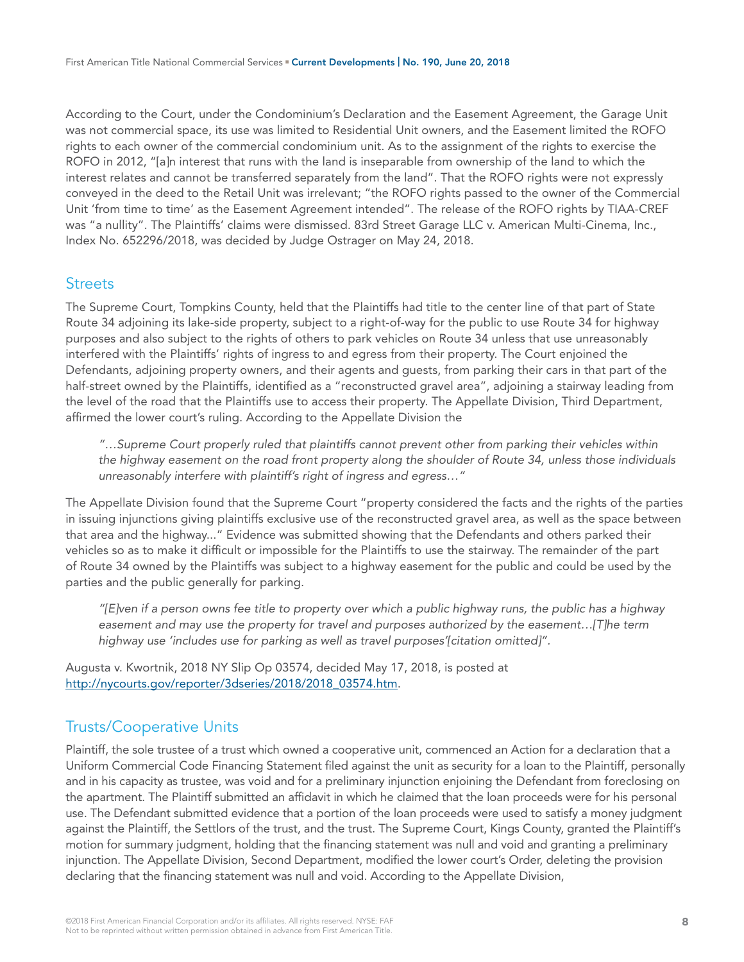According to the Court, under the Condominium's Declaration and the Easement Agreement, the Garage Unit was not commercial space, its use was limited to Residential Unit owners, and the Easement limited the ROFO rights to each owner of the commercial condominium unit. As to the assignment of the rights to exercise the ROFO in 2012, "[a]n interest that runs with the land is inseparable from ownership of the land to which the interest relates and cannot be transferred separately from the land". That the ROFO rights were not expressly conveyed in the deed to the Retail Unit was irrelevant; "the ROFO rights passed to the owner of the Commercial Unit 'from time to time' as the Easement Agreement intended". The release of the ROFO rights by TIAA-CREF was "a nullity". The Plaintiffs' claims were dismissed. 83rd Street Garage LLC v. American Multi-Cinema, Inc., Index No. 652296/2018, was decided by Judge Ostrager on May 24, 2018.

#### **Streets**

The Supreme Court, Tompkins County, held that the Plaintiffs had title to the center line of that part of State Route 34 adjoining its lake-side property, subject to a right-of-way for the public to use Route 34 for highway purposes and also subject to the rights of others to park vehicles on Route 34 unless that use unreasonably interfered with the Plaintiffs' rights of ingress to and egress from their property. The Court enjoined the Defendants, adjoining property owners, and their agents and guests, from parking their cars in that part of the half-street owned by the Plaintiffs, identified as a "reconstructed gravel area", adjoining a stairway leading from the level of the road that the Plaintiffs use to access their property. The Appellate Division, Third Department, affirmed the lower court's ruling. According to the Appellate Division the

*"…Supreme Court properly ruled that plaintiffs cannot prevent other from parking their vehicles within the highway easement on the road front property along the shoulder of Route 34, unless those individuals unreasonably interfere with plaintiff's right of ingress and egress…"*

The Appellate Division found that the Supreme Court "property considered the facts and the rights of the parties in issuing injunctions giving plaintiffs exclusive use of the reconstructed gravel area, as well as the space between that area and the highway..." Evidence was submitted showing that the Defendants and others parked their vehicles so as to make it difficult or impossible for the Plaintiffs to use the stairway. The remainder of the part of Route 34 owned by the Plaintiffs was subject to a highway easement for the public and could be used by the parties and the public generally for parking.

*"[E]ven if a person owns fee title to property over which a public highway runs, the public has a highway easement and may use the property for travel and purposes authorized by the easement…[T]he term highway use 'includes use for parking as well as travel purposes'[citation omitted]".* 

Augusta v. Kwortnik, 2018 NY Slip Op 03574, decided May 17, 2018, is posted at [http://nycourts.gov/reporter/3dseries/2018/2018\\_03574.htm](http://nycourts.gov/reporter/3dseries/2018/2018_03574.htm).

# Trusts/Cooperative Units

Plaintiff, the sole trustee of a trust which owned a cooperative unit, commenced an Action for a declaration that a Uniform Commercial Code Financing Statement filed against the unit as security for a loan to the Plaintiff, personally and in his capacity as trustee, was void and for a preliminary injunction enjoining the Defendant from foreclosing on the apartment. The Plaintiff submitted an affidavit in which he claimed that the loan proceeds were for his personal use. The Defendant submitted evidence that a portion of the loan proceeds were used to satisfy a money judgment against the Plaintiff, the Settlors of the trust, and the trust. The Supreme Court, Kings County, granted the Plaintiff's motion for summary judgment, holding that the financing statement was null and void and granting a preliminary injunction. The Appellate Division, Second Department, modified the lower court's Order, deleting the provision declaring that the financing statement was null and void. According to the Appellate Division,